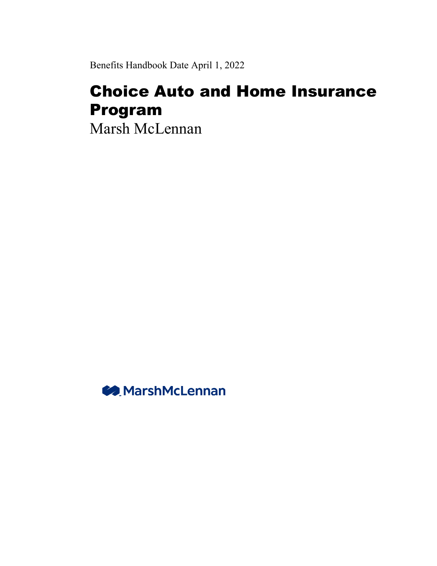Benefits Handbook Date April 1, 2022

# Choice Auto and Home Insurance Program

Marsh McLennan

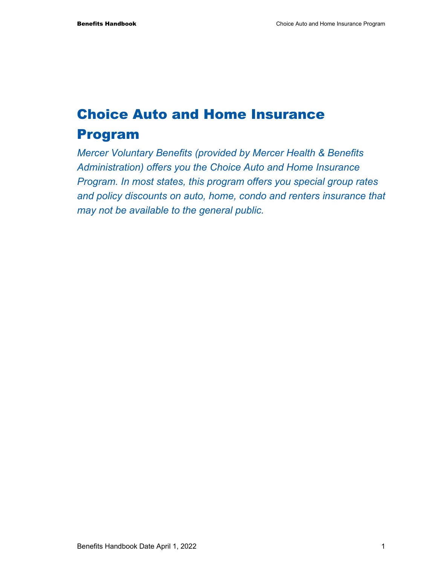# Choice Auto and Home Insurance Program

*Mercer Voluntary Benefits (provided by Mercer Health & Benefits Administration) offers you the Choice Auto and Home Insurance Program. In most states, this program offers you special group rates and policy discounts on auto, home, condo and renters insurance that may not be available to the general public.*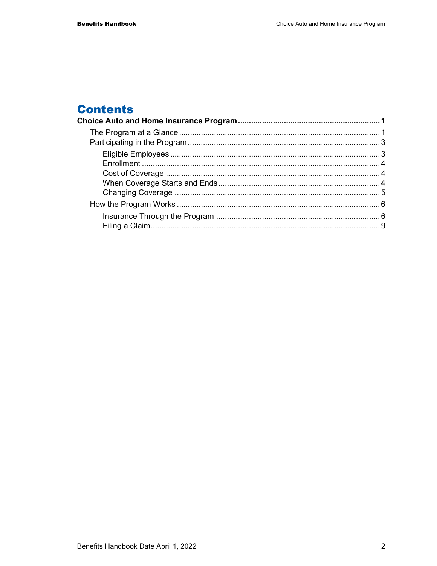# **Contents**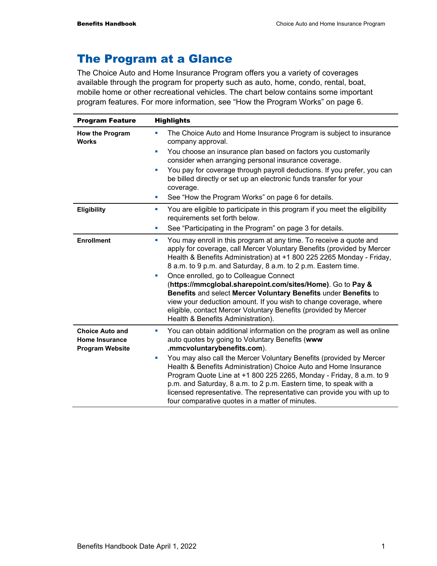# The Program at a Glance

The Choice Auto and Home Insurance Program offers you a variety of coverages available through the program for property such as auto, home, condo, rental, boat, mobile home or other recreational vehicles. The chart below contains some important program features. For more information, see "How the Program Works" on page 6.

| <b>Program Feature</b>                                                    | <b>Highlights</b>                                                                                                                                                                                                                                                                                                                                                                                                     |
|---------------------------------------------------------------------------|-----------------------------------------------------------------------------------------------------------------------------------------------------------------------------------------------------------------------------------------------------------------------------------------------------------------------------------------------------------------------------------------------------------------------|
| <b>How the Program</b><br><b>Works</b>                                    | The Choice Auto and Home Insurance Program is subject to insurance<br>ш<br>company approval.                                                                                                                                                                                                                                                                                                                          |
|                                                                           | You choose an insurance plan based on factors you customarily<br>u,<br>consider when arranging personal insurance coverage.                                                                                                                                                                                                                                                                                           |
|                                                                           | You pay for coverage through payroll deductions. If you prefer, you can<br>u,<br>be billed directly or set up an electronic funds transfer for your<br>coverage.                                                                                                                                                                                                                                                      |
|                                                                           | See "How the Program Works" on page 6 for details.<br>ш                                                                                                                                                                                                                                                                                                                                                               |
| Eligibility                                                               | You are eligible to participate in this program if you meet the eligibility<br>ш<br>requirements set forth below.                                                                                                                                                                                                                                                                                                     |
|                                                                           | See "Participating in the Program" on page 3 for details.<br>×                                                                                                                                                                                                                                                                                                                                                        |
| <b>Enrollment</b>                                                         | You may enroll in this program at any time. To receive a quote and<br>×<br>apply for coverage, call Mercer Voluntary Benefits (provided by Mercer<br>Health & Benefits Administration) at +1 800 225 2265 Monday - Friday,<br>8 a.m. to 9 p.m. and Saturday, 8 a.m. to 2 p.m. Eastern time.                                                                                                                           |
|                                                                           | Once enrolled, go to Colleague Connect<br>×<br>(https://mmcglobal.sharepoint.com/sites/Home). Go to Pay &<br>Benefits and select Mercer Voluntary Benefits under Benefits to<br>view your deduction amount. If you wish to change coverage, where<br>eligible, contact Mercer Voluntary Benefits (provided by Mercer<br>Health & Benefits Administration).                                                            |
| <b>Choice Auto and</b><br><b>Home Insurance</b><br><b>Program Website</b> | You can obtain additional information on the program as well as online<br>×<br>auto quotes by going to Voluntary Benefits (www<br>.mmcvoluntarybenefits.com).                                                                                                                                                                                                                                                         |
|                                                                           | You may also call the Mercer Voluntary Benefits (provided by Mercer<br>ш<br>Health & Benefits Administration) Choice Auto and Home Insurance<br>Program Quote Line at +1 800 225 2265, Monday - Friday, 8 a.m. to 9<br>p.m. and Saturday, 8 a.m. to 2 p.m. Eastern time, to speak with a<br>licensed representative. The representative can provide you with up to<br>four comparative quotes in a matter of minutes. |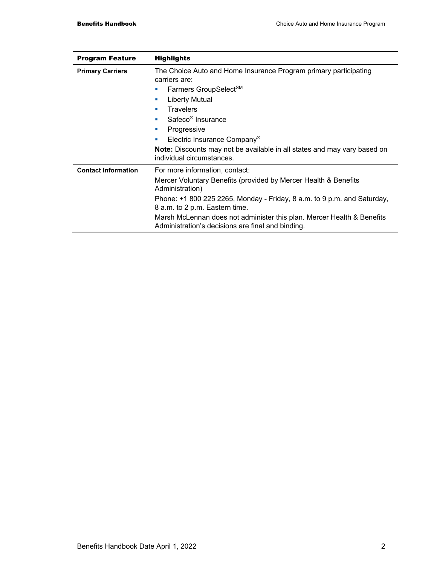| <b>Program Feature</b>     | <b>Highlights</b>                                                                                                                                                                                                                                                                                                                                                                                      |
|----------------------------|--------------------------------------------------------------------------------------------------------------------------------------------------------------------------------------------------------------------------------------------------------------------------------------------------------------------------------------------------------------------------------------------------------|
| <b>Primary Carriers</b>    | The Choice Auto and Home Insurance Program primary participating<br>carriers are:<br>Farmers GroupSelect <sup>SM</sup><br>ш<br>Liberty Mutual<br>ш<br><b>Travelers</b><br>ш<br>Safeco <sup>®</sup> Insurance<br>a.<br>Progressive<br>ш<br>Electric Insurance Company <sup>®</sup><br>ш<br><b>Note:</b> Discounts may not be available in all states and may vary based on<br>individual circumstances. |
| <b>Contact Information</b> | For more information, contact:<br>Mercer Voluntary Benefits (provided by Mercer Health & Benefits<br>Administration)<br>Phone: +1 800 225 2265, Monday - Friday, 8 a.m. to 9 p.m. and Saturday,<br>8 a.m. to 2 p.m. Eastern time.                                                                                                                                                                      |
|                            | Marsh McLennan does not administer this plan. Mercer Health & Benefits<br>Administration's decisions are final and binding.                                                                                                                                                                                                                                                                            |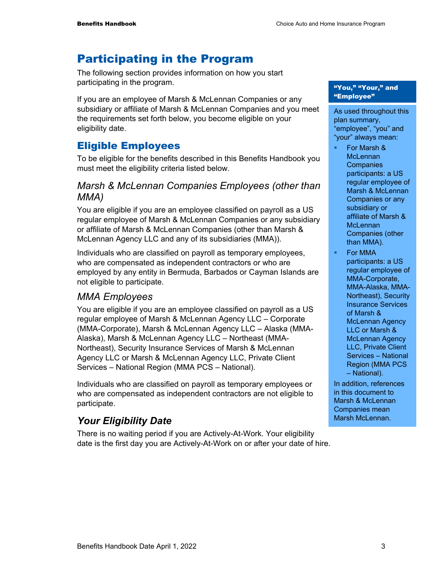# Participating in the Program

The following section provides information on how you start participating in the program.

If you are an employee of Marsh & McLennan Companies or any subsidiary or affiliate of Marsh & McLennan Companies and you meet the requirements set forth below, you become eligible on your eligibility date.

## Eligible Employees

To be eligible for the benefits described in this Benefits Handbook you must meet the eligibility criteria listed below.

#### *Marsh & McLennan Companies Employees (other than MMA)*

You are eligible if you are an employee classified on payroll as a US regular employee of Marsh & McLennan Companies or any subsidiary or affiliate of Marsh & McLennan Companies (other than Marsh & McLennan Agency LLC and any of its subsidiaries (MMA)).

Individuals who are classified on payroll as temporary employees, who are compensated as independent contractors or who are employed by any entity in Bermuda, Barbados or Cayman Islands are not eligible to participate.

### *MMA Employees*

You are eligible if you are an employee classified on payroll as a US regular employee of Marsh & McLennan Agency LLC – Corporate (MMA-Corporate), Marsh & McLennan Agency LLC – Alaska (MMA-Alaska), Marsh & McLennan Agency LLC – Northeast (MMA-Northeast), Security Insurance Services of Marsh & McLennan Agency LLC or Marsh & McLennan Agency LLC, Private Client Services – National Region (MMA PCS – National).

Individuals who are classified on payroll as temporary employees or who are compensated as independent contractors are not eligible to participate.

# *Your Eligibility Date*

There is no waiting period if you are Actively-At-Work. Your eligibility date is the first day you are Actively-At-Work on or after your date of hire.

#### "You," "Your," and "Employee"

As used throughout this plan summary, "employee", "you" and "your" always mean:

- For Marsh & **McLennan Companies** participants: a US regular employee of Marsh & McLennan Companies or any subsidiary or affiliate of Marsh & **McLennan** Companies (other than MMA).
- For MMA participants: a US regular employee of MMA-Corporate, MMA-Alaska, MMA-Northeast), Security Insurance Services of Marsh & McLennan Agency LLC or Marsh & McLennan Agency LLC, Private Client Services – National Region (MMA PCS – National).

In addition, references in this document to Marsh & McLennan Companies mean Marsh McLennan.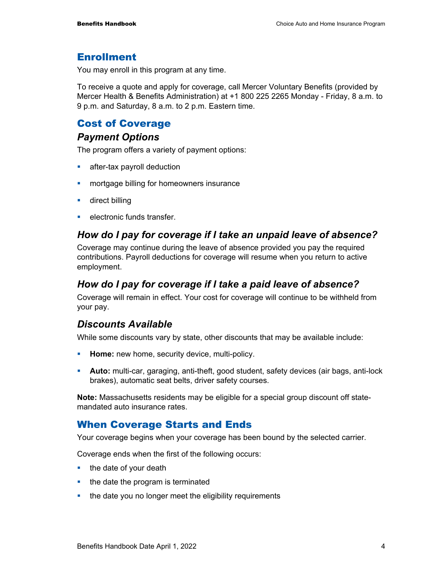#### Enrollment

You may enroll in this program at any time.

To receive a quote and apply for coverage, call Mercer Voluntary Benefits (provided by Mercer Health & Benefits Administration) at +1 800 225 2265 Monday - Friday, 8 a.m. to 9 p.m. and Saturday, 8 a.m. to 2 p.m. Eastern time.

#### Cost of Coverage

#### *Payment Options*

The program offers a variety of payment options:

- **after-tax payroll deduction**
- **n** mortgage billing for homeowners insurance
- **direct billing**
- **EXECUTE:** electronic funds transfer.

#### *How do I pay for coverage if I take an unpaid leave of absence?*

Coverage may continue during the leave of absence provided you pay the required contributions. Payroll deductions for coverage will resume when you return to active employment.

#### *How do I pay for coverage if I take a paid leave of absence?*

Coverage will remain in effect. Your cost for coverage will continue to be withheld from your pay.

#### *Discounts Available*

While some discounts vary by state, other discounts that may be available include:

- **Home:** new home, security device, multi-policy.
- **Auto:** multi-car, garaging, anti-theft, good student, safety devices (air bags, anti-lock brakes), automatic seat belts, driver safety courses.

**Note:** Massachusetts residents may be eligible for a special group discount off statemandated auto insurance rates

#### When Coverage Starts and Ends

Your coverage begins when your coverage has been bound by the selected carrier.

Coverage ends when the first of the following occurs:

- $\blacksquare$  the date of your death
- $\blacksquare$  the date the program is terminated
- the date you no longer meet the eligibility requirements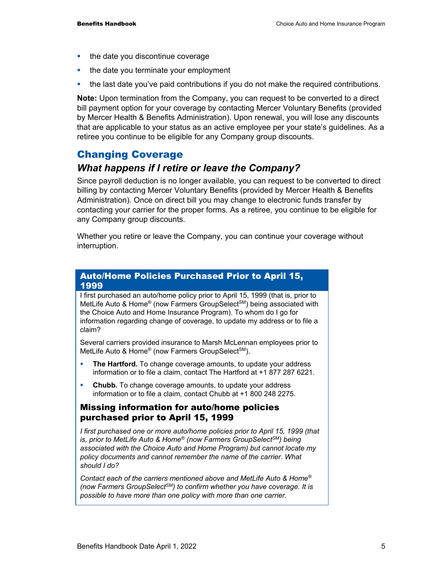- $\blacksquare$  the date you discontinue coverage
- the date you terminate your employment
- the last date you've paid contributions if you do not make the required contributions.

**Note:** Upon termination from the Company, you can request to be converted to a direct bill payment option for your coverage by contacting Mercer Voluntary Benefits (provided by Mercer Health & Benefits Administration). Upon renewal, you will lose any discounts that are applicable to your status as an active employee per your state's guidelines. As a retiree you continue to be eligible for any Company group discounts.

### Changing Coverage

#### *What happens if I retire or leave the Company?*

Since payroll deduction is no longer available, you can request to be converted to direct billing by contacting Mercer Voluntary Benefits (provided by Mercer Health & Benefits Administration). Once on direct bill you may change to electronic funds transfer by contacting your carrier for the proper forms. As a retiree, you continue to be eligible for any Company group discounts.

Whether you retire or leave the Company, you can continue your coverage without interruption.

#### Auto/Home Policies Purchased Prior to April 15, 1999

I first purchased an auto/home policy prior to April 15, 1999 (that is, prior to MetLife Auto & Home<sup>®</sup> (now Farmers GroupSelect<sup>SM</sup>) being associated with the Choice Auto and Home Insurance Program). To whom do I go for information regarding change of coverage, to update my address or to file a claim?

Several carriers provided insurance to Marsh McLennan employees prior to MetLife Auto & Home® (now Farmers GroupSelect<sup>SM</sup>).

- **The Hartford.** To change coverage amounts, to update your address information or to file a claim, contact The Hartford at +1 877 287 6221.
- **Chubb.** To change coverage amounts, to update your address information or to file a claim, contact Chubb at +1 800 248 2275.

#### Missing information for auto/home policies purchased prior to April 15, 1999

*I first purchased one or more auto/home policies prior to April 15, 1999 (that is, prior to MetLife Auto & Home® (now Farmers GroupSelectSM) being associated with the Choice Auto and Home Program) but cannot locate my policy documents and cannot remember the name of the carrier. What should I do?* 

*Contact each of the carriers mentioned above and MetLife Auto & Home® (now Farmers GroupSelectSM) to confirm whether you have coverage. It is possible to have more than one policy with more than one carrier.*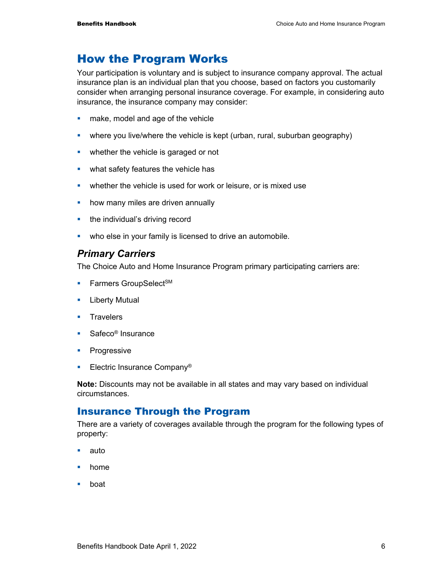# How the Program Works

Your participation is voluntary and is subject to insurance company approval. The actual insurance plan is an individual plan that you choose, based on factors you customarily consider when arranging personal insurance coverage. For example, in considering auto insurance, the insurance company may consider:

- **nake, model and age of the vehicle**
- where you live/where the vehicle is kept (urban, rural, suburban geography)
- whether the vehicle is garaged or not
- what safety features the vehicle has
- **EXCO** whether the vehicle is used for work or leisure, or is mixed use
- **•** how many miles are driven annually
- **the individual's driving record**
- **•** who else in your family is licensed to drive an automobile.

#### *Primary Carriers*

The Choice Auto and Home Insurance Program primary participating carriers are:

- **Farmers GroupSelect<sup>SM</sup>**
- **E** Liberty Mutual
- **Travelers**
- Safeco<sup>®</sup> Insurance
- **Progressive**
- **Electric Insurance Company®**

**Note:** Discounts may not be available in all states and may vary based on individual circumstances.

#### Insurance Through the Program

There are a variety of coverages available through the program for the following types of property:

- auto
- **•** home
- boat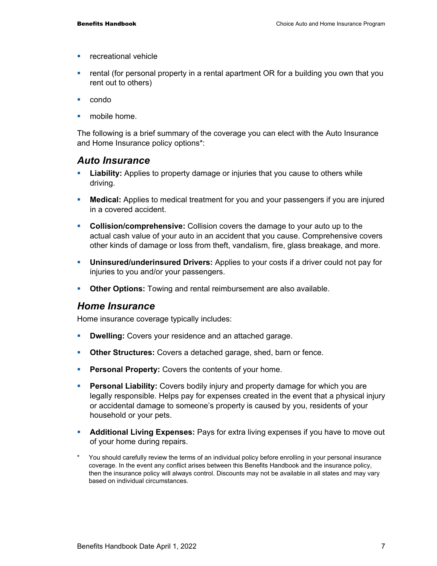- **F** recreational vehicle
- rental (for personal property in a rental apartment OR for a building you own that you rent out to others)
- condo
- mobile home.

The following is a brief summary of the coverage you can elect with the Auto Insurance and Home Insurance policy options\*:

#### *Auto Insurance*

- **Liability:** Applies to property damage or injuries that you cause to others while driving.
- **Medical:** Applies to medical treatment for you and your passengers if you are injured in a covered accident.
- **Collision/comprehensive:** Collision covers the damage to your auto up to the actual cash value of your auto in an accident that you cause. Comprehensive covers other kinds of damage or loss from theft, vandalism, fire, glass breakage, and more.
- **Uninsured/underinsured Drivers:** Applies to your costs if a driver could not pay for injuries to you and/or your passengers.
- **Other Options:** Towing and rental reimbursement are also available.

#### *Home Insurance*

Home insurance coverage typically includes:

- **Dwelling:** Covers your residence and an attached garage.
- **Other Structures:** Covers a detached garage, shed, barn or fence.
- **Personal Property:** Covers the contents of your home.
- **Personal Liability:** Covers bodily injury and property damage for which you are legally responsible. Helps pay for expenses created in the event that a physical injury or accidental damage to someone's property is caused by you, residents of your household or your pets.
- **Additional Living Expenses:** Pays for extra living expenses if you have to move out of your home during repairs.
- \* You should carefully review the terms of an individual policy before enrolling in your personal insurance coverage. In the event any conflict arises between this Benefits Handbook and the insurance policy, then the insurance policy will always control. Discounts may not be available in all states and may vary based on individual circumstances.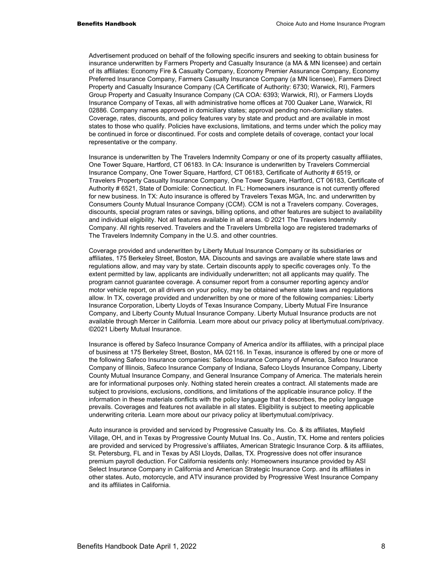Advertisement produced on behalf of the following specific insurers and seeking to obtain business for insurance underwritten by Farmers Property and Casualty Insurance (a MA & MN licensee) and certain of its affiliates: Economy Fire & Casualty Company, Economy Premier Assurance Company, Economy Preferred Insurance Company, Farmers Casualty Insurance Company (a MN licensee), Farmers Direct Property and Casualty Insurance Company (CA Certificate of Authority: 6730; Warwick, RI), Farmers Group Property and Casualty Insurance Company (CA COA: 6393; Warwick, RI), or Farmers Lloyds Insurance Company of Texas, all with administrative home offices at 700 Quaker Lane, Warwick, RI 02886. Company names approved in domiciliary states; approval pending non-domiciliary states. Coverage, rates, discounts, and policy features vary by state and product and are available in most states to those who qualify. Policies have exclusions, limitations, and terms under which the policy may be continued in force or discontinued. For costs and complete details of coverage, contact your local representative or the company.

 Insurance is underwritten by The Travelers Indemnity Company or one of its property casualty affiliates, One Tower Square, Hartford, CT 06183. In CA: Insurance is underwritten by Travelers Commercial Insurance Company, One Tower Square, Hartford, CT 06183, Certificate of Authority # 6519, or Travelers Property Casualty Insurance Company, One Tower Square, Hartford, CT 06183, Certificate of Authority # 6521, State of Domicile: Connecticut. In FL: Homeowners insurance is not currently offered for new business. In TX: Auto insurance is offered by Travelers Texas MGA, Inc. and underwritten by Consumers County Mutual Insurance Company (CCM). CCM is not a Travelers company. Coverages, discounts, special program rates or savings, billing options, and other features are subject to availability and individual eligibility. Not all features available in all areas. © 2021 The Travelers Indemnity Company. All rights reserved. Travelers and the Travelers Umbrella logo are registered trademarks of The Travelers Indemnity Company in the U.S. and other countries.

 Coverage provided and underwritten by Liberty Mutual Insurance Company or its subsidiaries or affiliates, 175 Berkeley Street, Boston, MA. Discounts and savings are available where state laws and regulations allow, and may vary by state. Certain discounts apply to specific coverages only. To the extent permitted by law, applicants are individually underwritten; not all applicants may qualify. The program cannot guarantee coverage. A consumer report from a consumer reporting agency and/or motor vehicle report, on all drivers on your policy, may be obtained where state laws and regulations allow. In TX, coverage provided and underwritten by one or more of the following companies: Liberty Insurance Corporation, Liberty Lloyds of Texas Insurance Company, Liberty Mutual Fire Insurance Company, and Liberty County Mutual Insurance Company. Liberty Mutual Insurance products are not available through Mercer in California. Learn more about our privacy policy at libertymutual.com/privacy. ©2021 Liberty Mutual Insurance.

 Insurance is offered by Safeco Insurance Company of America and/or its affiliates, with a principal place of business at 175 Berkeley Street, Boston, MA 02116. In Texas, insurance is offered by one or more of the following Safeco Insurance companies: Safeco Insurance Company of America, Safeco Insurance Company of Illinois, Safeco Insurance Company of Indiana, Safeco Lloyds Insurance Company, Liberty County Mutual Insurance Company, and General Insurance Company of America. The materials herein are for informational purposes only. Nothing stated herein creates a contract. All statements made are subject to provisions, exclusions, conditions, and limitations of the applicable insurance policy. If the information in these materials conflicts with the policy language that it describes, the policy language prevails. Coverages and features not available in all states. Eligibility is subject to meeting applicable underwriting criteria. Learn more about our privacy policy at libertymutual.com/privacy.

 Auto insurance is provided and serviced by Progressive Casualty Ins. Co. & its affiliates, Mayfield Village, OH, and in Texas by Progressive County Mutual Ins. Co., Austin, TX. Home and renters policies are provided and serviced by Progressive's affiliates, American Strategic Insurance Corp. & its affiliates, St. Petersburg, FL and in Texas by ASI Lloyds, Dallas, TX. Progressive does not offer insurance premium payroll deduction. For California residents only: Homeowners insurance provided by ASI Select Insurance Company in California and American Strategic Insurance Corp. and its affiliates in other states. Auto, motorcycle, and ATV insurance provided by Progressive West Insurance Company and its affiliates in California.